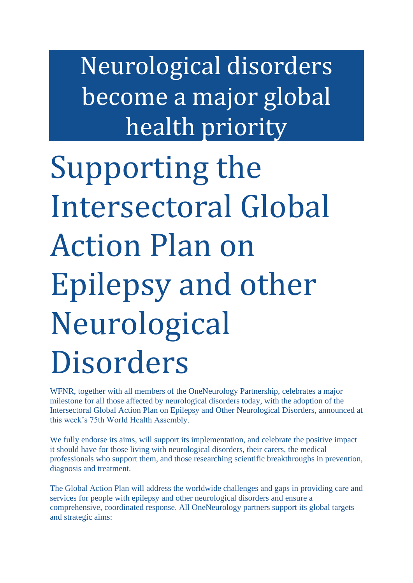Neurological disorders become a major global health priority

Supporting the Intersectoral Global Action Plan on Epilepsy and other Neurological Disorders

WFNR, together with all members of the OneNeurology Partnership, celebrates a major milestone for all those affected by neurological disorders today, with the adoption of the Intersectoral Global Action Plan on Epilepsy and Other Neurological Disorders, announced at this week's 75th World Health Assembly.

We fully endorse its aims, will support its implementation, and celebrate the positive impact it should have for those living with neurological disorders, their carers, the medical professionals who support them, and those researching scientific breakthroughs in prevention, diagnosis and treatment.

The Global Action Plan will address the worldwide challenges and gaps in providing care and services for people with epilepsy and other neurological disorders and ensure a comprehensive, coordinated response. All OneNeurology partners support its global targets and strategic aims: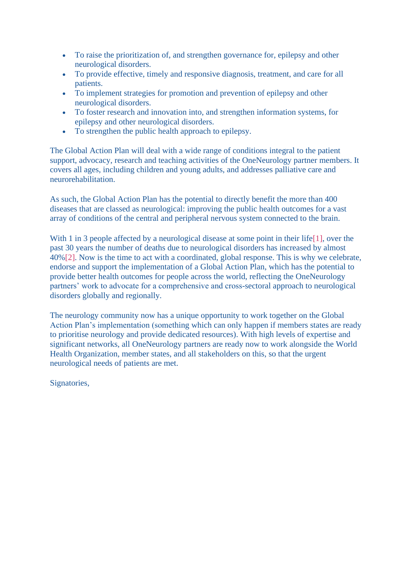- To raise the prioritization of, and strengthen governance for, epilepsy and other neurological disorders.
- To provide effective, timely and responsive diagnosis, treatment, and care for all patients.
- To implement strategies for promotion and prevention of epilepsy and other neurological disorders.
- To foster research and innovation into, and strengthen information systems, for epilepsy and other neurological disorders.
- To strengthen the public health approach to epilepsy.

The Global Action Plan will deal with a wide range of conditions integral to the patient support, advocacy, research and teaching activities of the OneNeurology partner members. It covers all ages, including children and young adults, and addresses palliative care and neurorehabilitation.

As such, the Global Action Plan has the potential to directly benefit the more than 400 diseases that are classed as neurological: improving the public health outcomes for a vast array of conditions of the central and peripheral nervous system connected to the brain.

With 1 in 3 people affected by a neurological disease at some point in their life[1], over the past 30 years the number of deaths due to neurological disorders has increased by almost 40%[2]. Now is the time to act with a coordinated, global response. This is why we celebrate, endorse and support the implementation of a Global Action Plan, which has the potential to provide better health outcomes for people across the world, reflecting the OneNeurology partners' work to advocate for a comprehensive and cross-sectoral approach to neurological disorders globally and regionally.

The neurology community now has a unique opportunity to work together on the Global Action Plan's implementation (something which can only happen if members states are ready to prioritise neurology and provide dedicated resources). With high levels of expertise and significant networks, all OneNeurology partners are ready now to work alongside the World Health Organization, member states, and all stakeholders on this, so that the urgent neurological needs of patients are met.

Signatories,